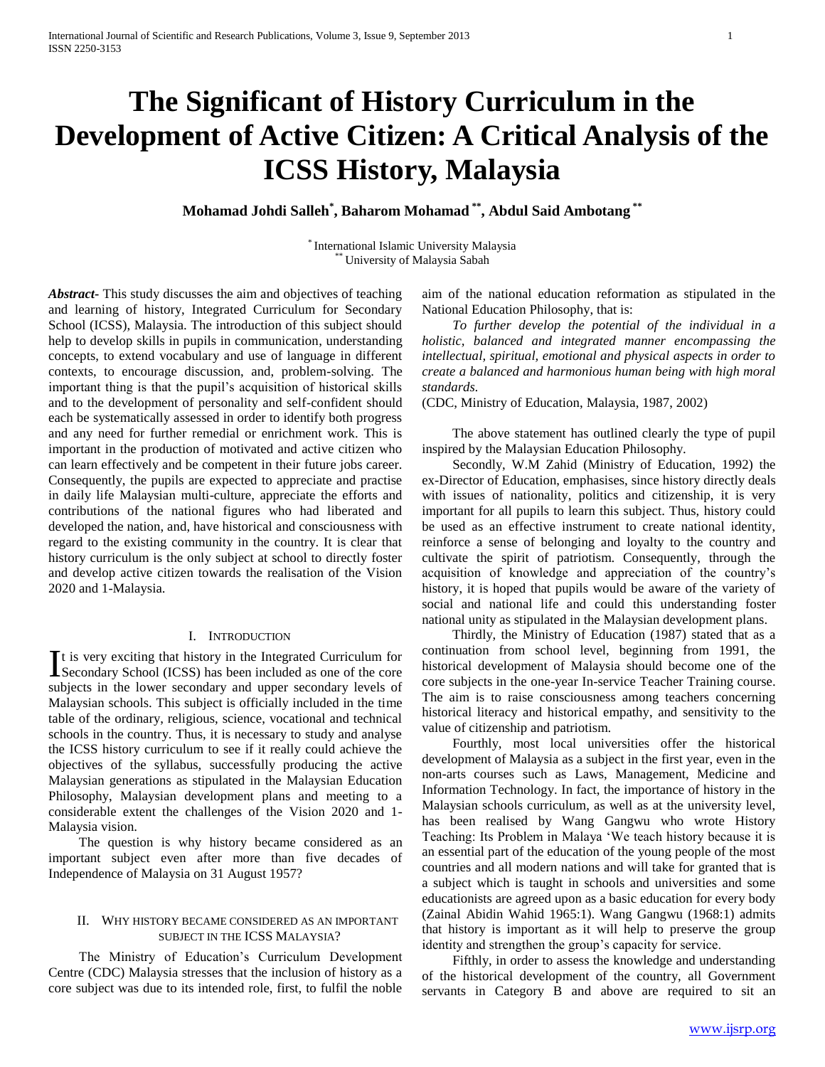# **The Significant of History Curriculum in the Development of Active Citizen: A Critical Analysis of the ICSS History, Malaysia**

**Mohamad Johdi Salleh\* , Baharom Mohamad \*\* , Abdul Said Ambotang \*\***

\* International Islamic University Malaysia University of Malaysia Sabah

*Abstract***-** This study discusses the aim and objectives of teaching and learning of history, Integrated Curriculum for Secondary School (ICSS), Malaysia. The introduction of this subject should help to develop skills in pupils in communication, understanding concepts, to extend vocabulary and use of language in different contexts, to encourage discussion, and, problem-solving. The important thing is that the pupil's acquisition of historical skills and to the development of personality and self-confident should each be systematically assessed in order to identify both progress and any need for further remedial or enrichment work. This is important in the production of motivated and active citizen who can learn effectively and be competent in their future jobs career. Consequently, the pupils are expected to appreciate and practise in daily life Malaysian multi-culture, appreciate the efforts and contributions of the national figures who had liberated and developed the nation, and, have historical and consciousness with regard to the existing community in the country. It is clear that history curriculum is the only subject at school to directly foster and develop active citizen towards the realisation of the Vision 2020 and 1-Malaysia.

### I. INTRODUCTION

t is very exciting that history in the Integrated Curriculum for It is very exciting that history in the Integrated Curriculum for<br>Secondary School (ICSS) has been included as one of the core subjects in the lower secondary and upper secondary levels of Malaysian schools. This subject is officially included in the time table of the ordinary, religious, science, vocational and technical schools in the country. Thus, it is necessary to study and analyse the ICSS history curriculum to see if it really could achieve the objectives of the syllabus, successfully producing the active Malaysian generations as stipulated in the Malaysian Education Philosophy, Malaysian development plans and meeting to a considerable extent the challenges of the Vision 2020 and 1- Malaysia vision.

 The question is why history became considered as an important subject even after more than five decades of Independence of Malaysia on 31 August 1957?

### II. WHY HISTORY BECAME CONSIDERED AS AN IMPORTANT SUBJECT IN THE ICSS MALAYSIA?

 The Ministry of Education's Curriculum Development Centre (CDC) Malaysia stresses that the inclusion of history as a core subject was due to its intended role, first, to fulfil the noble

aim of the national education reformation as stipulated in the National Education Philosophy, that is:

 *To further develop the potential of the individual in a holistic, balanced and integrated manner encompassing the intellectual, spiritual, emotional and physical aspects in order to create a balanced and harmonious human being with high moral standards.*

(CDC, Ministry of Education, Malaysia, 1987, 2002)

 The above statement has outlined clearly the type of pupil inspired by the Malaysian Education Philosophy.

 Secondly, W.M Zahid (Ministry of Education, 1992) the ex-Director of Education, emphasises, since history directly deals with issues of nationality, politics and citizenship, it is very important for all pupils to learn this subject. Thus, history could be used as an effective instrument to create national identity, reinforce a sense of belonging and loyalty to the country and cultivate the spirit of patriotism. Consequently, through the acquisition of knowledge and appreciation of the country's history, it is hoped that pupils would be aware of the variety of social and national life and could this understanding foster national unity as stipulated in the Malaysian development plans.

 Thirdly, the Ministry of Education (1987) stated that as a continuation from school level, beginning from 1991, the historical development of Malaysia should become one of the core subjects in the one-year In-service Teacher Training course. The aim is to raise consciousness among teachers concerning historical literacy and historical empathy, and sensitivity to the value of citizenship and patriotism.

 Fourthly, most local universities offer the historical development of Malaysia as a subject in the first year, even in the non-arts courses such as Laws, Management, Medicine and Information Technology. In fact, the importance of history in the Malaysian schools curriculum, as well as at the university level, has been realised by Wang Gangwu who wrote History Teaching: Its Problem in Malaya 'We teach history because it is an essential part of the education of the young people of the most countries and all modern nations and will take for granted that is a subject which is taught in schools and universities and some educationists are agreed upon as a basic education for every body (Zainal Abidin Wahid 1965:1). Wang Gangwu (1968:1) admits that history is important as it will help to preserve the group identity and strengthen the group's capacity for service.

 Fifthly, in order to assess the knowledge and understanding of the historical development of the country, all Government servants in Category B and above are required to sit an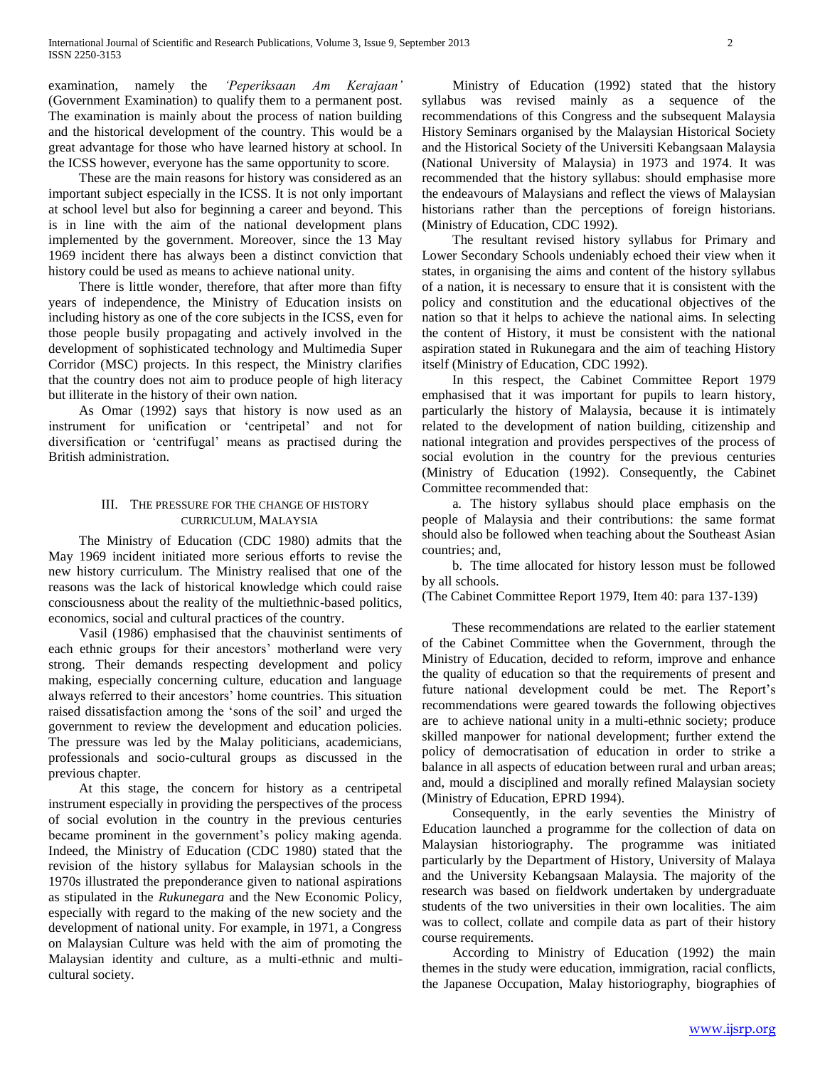examination, namely the *'Peperiksaan Am Kerajaan'*  (Government Examination) to qualify them to a permanent post. The examination is mainly about the process of nation building and the historical development of the country. This would be a great advantage for those who have learned history at school. In the ICSS however, everyone has the same opportunity to score.

 These are the main reasons for history was considered as an important subject especially in the ICSS. It is not only important at school level but also for beginning a career and beyond. This is in line with the aim of the national development plans implemented by the government. Moreover, since the 13 May 1969 incident there has always been a distinct conviction that history could be used as means to achieve national unity.

 There is little wonder, therefore, that after more than fifty years of independence, the Ministry of Education insists on including history as one of the core subjects in the ICSS, even for those people busily propagating and actively involved in the development of sophisticated technology and Multimedia Super Corridor (MSC) projects. In this respect, the Ministry clarifies that the country does not aim to produce people of high literacy but illiterate in the history of their own nation.

 As Omar (1992) says that history is now used as an instrument for unification or 'centripetal' and not for diversification or 'centrifugal' means as practised during the British administration.

# III. THE PRESSURE FOR THE CHANGE OF HISTORY CURRICULUM, MALAYSIA

 The Ministry of Education (CDC 1980) admits that the May 1969 incident initiated more serious efforts to revise the new history curriculum. The Ministry realised that one of the reasons was the lack of historical knowledge which could raise consciousness about the reality of the multiethnic-based politics, economics, social and cultural practices of the country.

 Vasil (1986) emphasised that the chauvinist sentiments of each ethnic groups for their ancestors' motherland were very strong. Their demands respecting development and policy making, especially concerning culture, education and language always referred to their ancestors' home countries. This situation raised dissatisfaction among the 'sons of the soil' and urged the government to review the development and education policies. The pressure was led by the Malay politicians, academicians, professionals and socio-cultural groups as discussed in the previous chapter.

 At this stage, the concern for history as a centripetal instrument especially in providing the perspectives of the process of social evolution in the country in the previous centuries became prominent in the government's policy making agenda. Indeed, the Ministry of Education (CDC 1980) stated that the revision of the history syllabus for Malaysian schools in the 1970s illustrated the preponderance given to national aspirations as stipulated in the *Rukunegara* and the New Economic Policy, especially with regard to the making of the new society and the development of national unity. For example, in 1971, a Congress on Malaysian Culture was held with the aim of promoting the Malaysian identity and culture, as a multi-ethnic and multicultural society.

 Ministry of Education (1992) stated that the history syllabus was revised mainly as a sequence of the recommendations of this Congress and the subsequent Malaysia History Seminars organised by the Malaysian Historical Society and the Historical Society of the Universiti Kebangsaan Malaysia (National University of Malaysia) in 1973 and 1974. It was recommended that the history syllabus: should emphasise more the endeavours of Malaysians and reflect the views of Malaysian historians rather than the perceptions of foreign historians. (Ministry of Education, CDC 1992).

 The resultant revised history syllabus for Primary and Lower Secondary Schools undeniably echoed their view when it states, in organising the aims and content of the history syllabus of a nation, it is necessary to ensure that it is consistent with the policy and constitution and the educational objectives of the nation so that it helps to achieve the national aims. In selecting the content of History, it must be consistent with the national aspiration stated in Rukunegara and the aim of teaching History itself (Ministry of Education, CDC 1992).

 In this respect, the Cabinet Committee Report 1979 emphasised that it was important for pupils to learn history, particularly the history of Malaysia, because it is intimately related to the development of nation building, citizenship and national integration and provides perspectives of the process of social evolution in the country for the previous centuries (Ministry of Education (1992). Consequently, the Cabinet Committee recommended that:

 a. The history syllabus should place emphasis on the people of Malaysia and their contributions: the same format should also be followed when teaching about the Southeast Asian countries; and,

 b. The time allocated for history lesson must be followed by all schools.

(The Cabinet Committee Report 1979, Item 40: para 137-139)

 These recommendations are related to the earlier statement of the Cabinet Committee when the Government, through the Ministry of Education, decided to reform, improve and enhance the quality of education so that the requirements of present and future national development could be met. The Report's recommendations were geared towards the following objectives are to achieve national unity in a multi-ethnic society; produce skilled manpower for national development; further extend the policy of democratisation of education in order to strike a balance in all aspects of education between rural and urban areas; and, mould a disciplined and morally refined Malaysian society (Ministry of Education, EPRD 1994).

 Consequently, in the early seventies the Ministry of Education launched a programme for the collection of data on Malaysian historiography. The programme was initiated particularly by the Department of History, University of Malaya and the University Kebangsaan Malaysia. The majority of the research was based on fieldwork undertaken by undergraduate students of the two universities in their own localities. The aim was to collect, collate and compile data as part of their history course requirements.

 According to Ministry of Education (1992) the main themes in the study were education, immigration, racial conflicts, the Japanese Occupation, Malay historiography, biographies of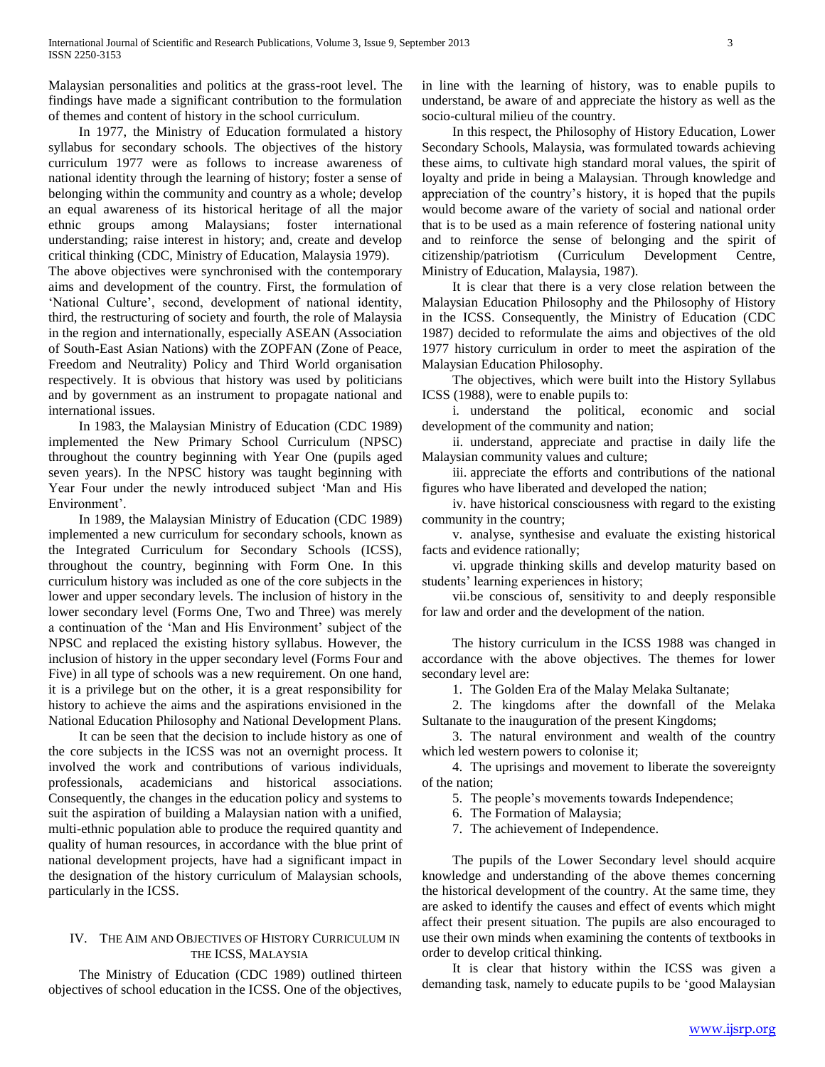Malaysian personalities and politics at the grass-root level. The findings have made a significant contribution to the formulation of themes and content of history in the school curriculum.

 In 1977, the Ministry of Education formulated a history syllabus for secondary schools. The objectives of the history curriculum 1977 were as follows to increase awareness of national identity through the learning of history; foster a sense of belonging within the community and country as a whole; develop an equal awareness of its historical heritage of all the major ethnic groups among Malaysians; foster international understanding; raise interest in history; and, create and develop critical thinking (CDC, Ministry of Education, Malaysia 1979).

The above objectives were synchronised with the contemporary aims and development of the country. First, the formulation of 'National Culture', second, development of national identity, third, the restructuring of society and fourth, the role of Malaysia in the region and internationally, especially ASEAN (Association of South-East Asian Nations) with the ZOPFAN (Zone of Peace, Freedom and Neutrality) Policy and Third World organisation respectively. It is obvious that history was used by politicians and by government as an instrument to propagate national and international issues.

 In 1983, the Malaysian Ministry of Education (CDC 1989) implemented the New Primary School Curriculum (NPSC) throughout the country beginning with Year One (pupils aged seven years). In the NPSC history was taught beginning with Year Four under the newly introduced subject 'Man and His Environment'.

 In 1989, the Malaysian Ministry of Education (CDC 1989) implemented a new curriculum for secondary schools, known as the Integrated Curriculum for Secondary Schools (ICSS), throughout the country, beginning with Form One. In this curriculum history was included as one of the core subjects in the lower and upper secondary levels. The inclusion of history in the lower secondary level (Forms One, Two and Three) was merely a continuation of the 'Man and His Environment' subject of the NPSC and replaced the existing history syllabus. However, the inclusion of history in the upper secondary level (Forms Four and Five) in all type of schools was a new requirement. On one hand, it is a privilege but on the other, it is a great responsibility for history to achieve the aims and the aspirations envisioned in the National Education Philosophy and National Development Plans.

 It can be seen that the decision to include history as one of the core subjects in the ICSS was not an overnight process. It involved the work and contributions of various individuals, professionals, academicians and historical associations. Consequently, the changes in the education policy and systems to suit the aspiration of building a Malaysian nation with a unified, multi-ethnic population able to produce the required quantity and quality of human resources, in accordance with the blue print of national development projects, have had a significant impact in the designation of the history curriculum of Malaysian schools, particularly in the ICSS.

# IV. THE AIM AND OBJECTIVES OF HISTORY CURRICULUM IN THE ICSS, MALAYSIA

 The Ministry of Education (CDC 1989) outlined thirteen objectives of school education in the ICSS. One of the objectives, in line with the learning of history, was to enable pupils to understand, be aware of and appreciate the history as well as the socio-cultural milieu of the country.

 In this respect, the Philosophy of History Education, Lower Secondary Schools, Malaysia, was formulated towards achieving these aims, to cultivate high standard moral values, the spirit of loyalty and pride in being a Malaysian. Through knowledge and appreciation of the country's history, it is hoped that the pupils would become aware of the variety of social and national order that is to be used as a main reference of fostering national unity and to reinforce the sense of belonging and the spirit of citizenship/patriotism (Curriculum Development Centre, Ministry of Education, Malaysia, 1987).

 It is clear that there is a very close relation between the Malaysian Education Philosophy and the Philosophy of History in the ICSS. Consequently, the Ministry of Education (CDC 1987) decided to reformulate the aims and objectives of the old 1977 history curriculum in order to meet the aspiration of the Malaysian Education Philosophy.

 The objectives, which were built into the History Syllabus ICSS (1988), were to enable pupils to:

 i. understand the political, economic and social development of the community and nation;

 ii. understand, appreciate and practise in daily life the Malaysian community values and culture;

 iii. appreciate the efforts and contributions of the national figures who have liberated and developed the nation;

 iv. have historical consciousness with regard to the existing community in the country;

 v. analyse, synthesise and evaluate the existing historical facts and evidence rationally;

 vi. upgrade thinking skills and develop maturity based on students' learning experiences in history;

 vii.be conscious of, sensitivity to and deeply responsible for law and order and the development of the nation.

 The history curriculum in the ICSS 1988 was changed in accordance with the above objectives. The themes for lower secondary level are:

1. The Golden Era of the Malay Melaka Sultanate;

 2. The kingdoms after the downfall of the Melaka Sultanate to the inauguration of the present Kingdoms;

 3. The natural environment and wealth of the country which led western powers to colonise it;

 4. The uprisings and movement to liberate the sovereignty of the nation;

5. The people's movements towards Independence;

6. The Formation of Malaysia;

7. The achievement of Independence.

 The pupils of the Lower Secondary level should acquire knowledge and understanding of the above themes concerning the historical development of the country. At the same time, they are asked to identify the causes and effect of events which might affect their present situation. The pupils are also encouraged to use their own minds when examining the contents of textbooks in order to develop critical thinking.

 It is clear that history within the ICSS was given a demanding task, namely to educate pupils to be 'good Malaysian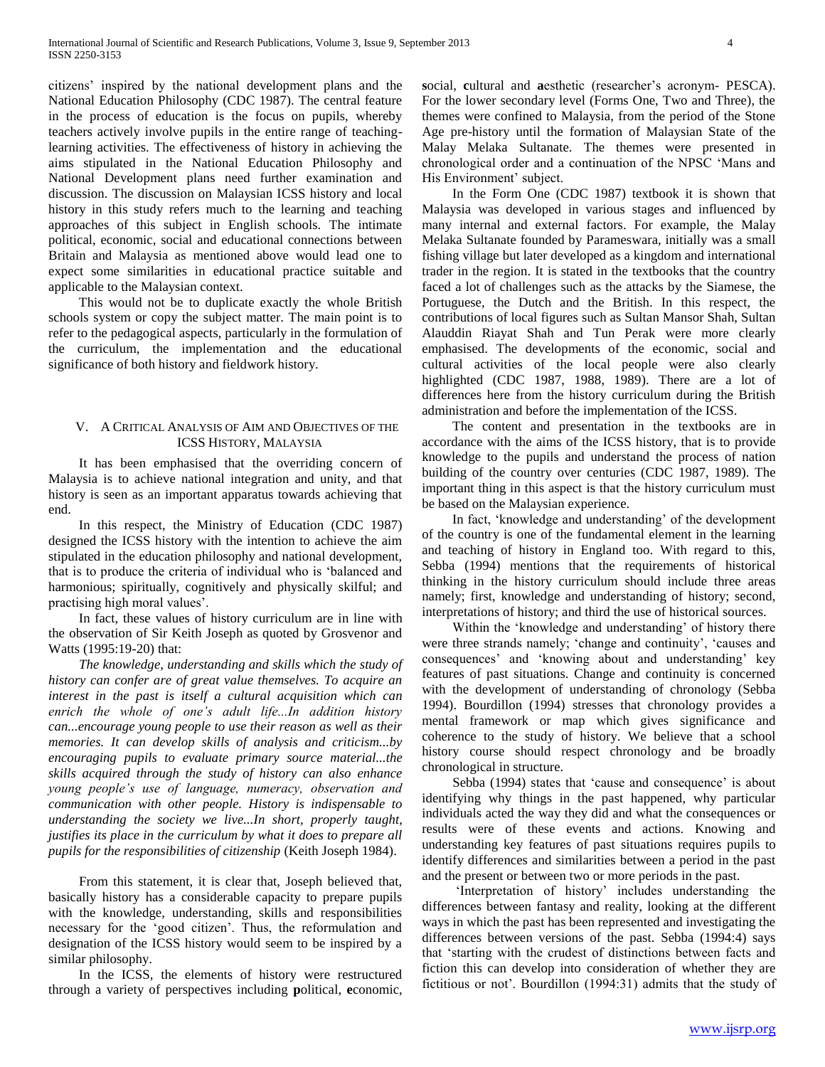citizens' inspired by the national development plans and the National Education Philosophy (CDC 1987). The central feature in the process of education is the focus on pupils, whereby teachers actively involve pupils in the entire range of teachinglearning activities. The effectiveness of history in achieving the aims stipulated in the National Education Philosophy and National Development plans need further examination and discussion. The discussion on Malaysian ICSS history and local history in this study refers much to the learning and teaching approaches of this subject in English schools. The intimate political, economic, social and educational connections between Britain and Malaysia as mentioned above would lead one to expect some similarities in educational practice suitable and applicable to the Malaysian context.

 This would not be to duplicate exactly the whole British schools system or copy the subject matter. The main point is to refer to the pedagogical aspects, particularly in the formulation of the curriculum, the implementation and the educational significance of both history and fieldwork history.

## V. A CRITICAL ANALYSIS OF AIM AND OBJECTIVES OF THE ICSS HISTORY, MALAYSIA

 It has been emphasised that the overriding concern of Malaysia is to achieve national integration and unity, and that history is seen as an important apparatus towards achieving that end.

 In this respect, the Ministry of Education (CDC 1987) designed the ICSS history with the intention to achieve the aim stipulated in the education philosophy and national development, that is to produce the criteria of individual who is 'balanced and harmonious; spiritually, cognitively and physically skilful; and practising high moral values'.

 In fact, these values of history curriculum are in line with the observation of Sir Keith Joseph as quoted by Grosvenor and Watts (1995:19-20) that:

 *The knowledge, understanding and skills which the study of history can confer are of great value themselves. To acquire an interest in the past is itself a cultural acquisition which can enrich the whole of one's adult life...In addition history can...encourage young people to use their reason as well as their memories. It can develop skills of analysis and criticism...by encouraging pupils to evaluate primary source material...the skills acquired through the study of history can also enhance young people's use of language, numeracy, observation and communication with other people. History is indispensable to understanding the society we live...In short, properly taught, justifies its place in the curriculum by what it does to prepare all pupils for the responsibilities of citizenship* (Keith Joseph 1984).

 From this statement, it is clear that, Joseph believed that, basically history has a considerable capacity to prepare pupils with the knowledge, understanding, skills and responsibilities necessary for the 'good citizen'. Thus, the reformulation and designation of the ICSS history would seem to be inspired by a similar philosophy.

 In the ICSS, the elements of history were restructured through a variety of perspectives including **p**olitical, **e**conomic,

**s**ocial, **c**ultural and **a**esthetic (researcher's acronym- PESCA). For the lower secondary level (Forms One, Two and Three), the themes were confined to Malaysia, from the period of the Stone Age pre-history until the formation of Malaysian State of the Malay Melaka Sultanate. The themes were presented in chronological order and a continuation of the NPSC 'Mans and His Environment' subject.

 In the Form One (CDC 1987) textbook it is shown that Malaysia was developed in various stages and influenced by many internal and external factors. For example, the Malay Melaka Sultanate founded by Parameswara, initially was a small fishing village but later developed as a kingdom and international trader in the region. It is stated in the textbooks that the country faced a lot of challenges such as the attacks by the Siamese, the Portuguese, the Dutch and the British. In this respect, the contributions of local figures such as Sultan Mansor Shah, Sultan Alauddin Riayat Shah and Tun Perak were more clearly emphasised. The developments of the economic, social and cultural activities of the local people were also clearly highlighted (CDC 1987, 1988, 1989). There are a lot of differences here from the history curriculum during the British administration and before the implementation of the ICSS.

 The content and presentation in the textbooks are in accordance with the aims of the ICSS history, that is to provide knowledge to the pupils and understand the process of nation building of the country over centuries (CDC 1987, 1989). The important thing in this aspect is that the history curriculum must be based on the Malaysian experience.

 In fact, 'knowledge and understanding' of the development of the country is one of the fundamental element in the learning and teaching of history in England too. With regard to this, Sebba (1994) mentions that the requirements of historical thinking in the history curriculum should include three areas namely; first, knowledge and understanding of history; second, interpretations of history; and third the use of historical sources.

 Within the 'knowledge and understanding' of history there were three strands namely; 'change and continuity', 'causes and consequences' and 'knowing about and understanding' key features of past situations. Change and continuity is concerned with the development of understanding of chronology (Sebba 1994). Bourdillon (1994) stresses that chronology provides a mental framework or map which gives significance and coherence to the study of history. We believe that a school history course should respect chronology and be broadly chronological in structure.

 Sebba (1994) states that 'cause and consequence' is about identifying why things in the past happened, why particular individuals acted the way they did and what the consequences or results were of these events and actions. Knowing and understanding key features of past situations requires pupils to identify differences and similarities between a period in the past and the present or between two or more periods in the past.

 'Interpretation of history' includes understanding the differences between fantasy and reality, looking at the different ways in which the past has been represented and investigating the differences between versions of the past. Sebba (1994:4) says that 'starting with the crudest of distinctions between facts and fiction this can develop into consideration of whether they are fictitious or not'. Bourdillon (1994:31) admits that the study of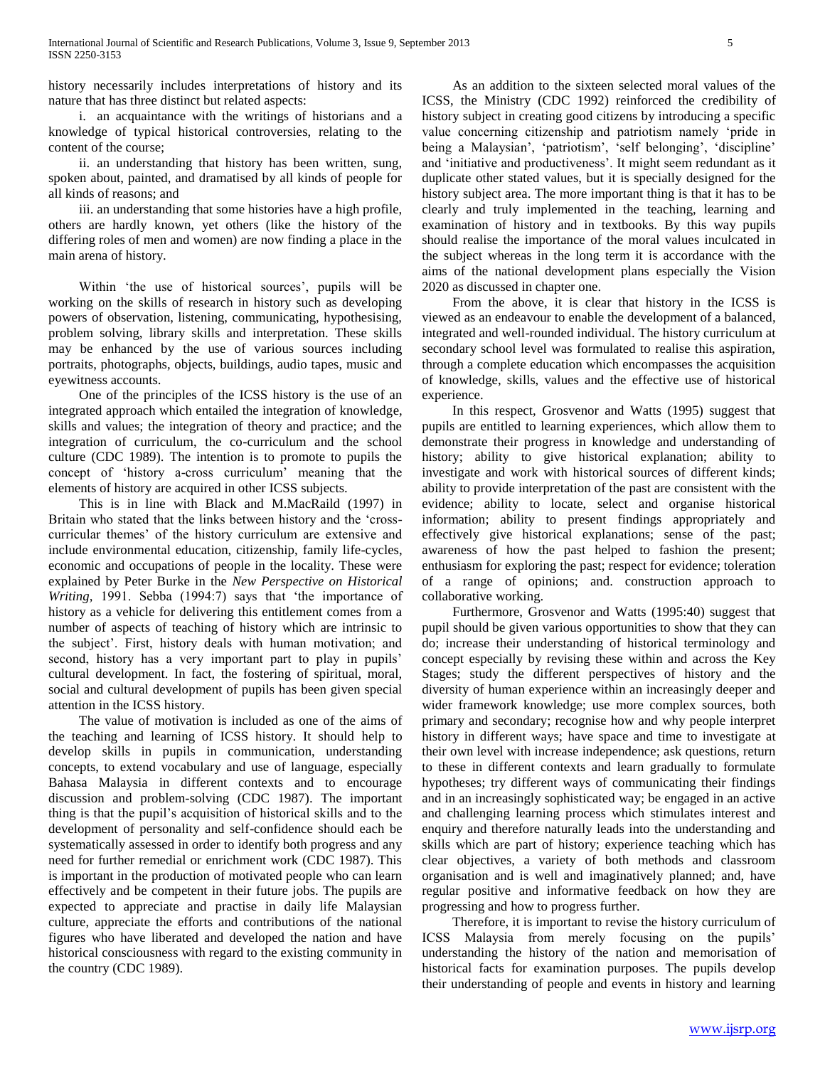history necessarily includes interpretations of history and its nature that has three distinct but related aspects:

 i. an acquaintance with the writings of historians and a knowledge of typical historical controversies, relating to the content of the course;

 ii. an understanding that history has been written, sung, spoken about, painted, and dramatised by all kinds of people for all kinds of reasons; and

 iii. an understanding that some histories have a high profile, others are hardly known, yet others (like the history of the differing roles of men and women) are now finding a place in the main arena of history.

 Within 'the use of historical sources', pupils will be working on the skills of research in history such as developing powers of observation, listening, communicating, hypothesising, problem solving, library skills and interpretation. These skills may be enhanced by the use of various sources including portraits, photographs, objects, buildings, audio tapes, music and eyewitness accounts.

 One of the principles of the ICSS history is the use of an integrated approach which entailed the integration of knowledge, skills and values; the integration of theory and practice; and the integration of curriculum, the co-curriculum and the school culture (CDC 1989). The intention is to promote to pupils the concept of 'history a-cross curriculum' meaning that the elements of history are acquired in other ICSS subjects.

 This is in line with Black and M.MacRaild (1997) in Britain who stated that the links between history and the 'crosscurricular themes' of the history curriculum are extensive and include environmental education, citizenship, family life-cycles, economic and occupations of people in the locality. These were explained by Peter Burke in the *New Perspective on Historical Writing,* 1991. Sebba (1994:7) says that 'the importance of history as a vehicle for delivering this entitlement comes from a number of aspects of teaching of history which are intrinsic to the subject'. First, history deals with human motivation; and second, history has a very important part to play in pupils' cultural development. In fact, the fostering of spiritual, moral, social and cultural development of pupils has been given special attention in the ICSS history.

 The value of motivation is included as one of the aims of the teaching and learning of ICSS history. It should help to develop skills in pupils in communication, understanding concepts, to extend vocabulary and use of language, especially Bahasa Malaysia in different contexts and to encourage discussion and problem-solving (CDC 1987). The important thing is that the pupil's acquisition of historical skills and to the development of personality and self-confidence should each be systematically assessed in order to identify both progress and any need for further remedial or enrichment work (CDC 1987). This is important in the production of motivated people who can learn effectively and be competent in their future jobs. The pupils are expected to appreciate and practise in daily life Malaysian culture, appreciate the efforts and contributions of the national figures who have liberated and developed the nation and have historical consciousness with regard to the existing community in the country (CDC 1989).

 As an addition to the sixteen selected moral values of the ICSS, the Ministry (CDC 1992) reinforced the credibility of history subject in creating good citizens by introducing a specific value concerning citizenship and patriotism namely 'pride in being a Malaysian', 'patriotism', 'self belonging', 'discipline' and 'initiative and productiveness'. It might seem redundant as it duplicate other stated values, but it is specially designed for the history subject area. The more important thing is that it has to be clearly and truly implemented in the teaching, learning and examination of history and in textbooks. By this way pupils should realise the importance of the moral values inculcated in the subject whereas in the long term it is accordance with the aims of the national development plans especially the Vision 2020 as discussed in chapter one.

 From the above, it is clear that history in the ICSS is viewed as an endeavour to enable the development of a balanced, integrated and well-rounded individual. The history curriculum at secondary school level was formulated to realise this aspiration, through a complete education which encompasses the acquisition of knowledge, skills, values and the effective use of historical experience.

 In this respect, Grosvenor and Watts (1995) suggest that pupils are entitled to learning experiences, which allow them to demonstrate their progress in knowledge and understanding of history; ability to give historical explanation; ability to investigate and work with historical sources of different kinds; ability to provide interpretation of the past are consistent with the evidence; ability to locate, select and organise historical information; ability to present findings appropriately and effectively give historical explanations; sense of the past; awareness of how the past helped to fashion the present; enthusiasm for exploring the past; respect for evidence; toleration of a range of opinions; and. construction approach to collaborative working.

 Furthermore, Grosvenor and Watts (1995:40) suggest that pupil should be given various opportunities to show that they can do; increase their understanding of historical terminology and concept especially by revising these within and across the Key Stages; study the different perspectives of history and the diversity of human experience within an increasingly deeper and wider framework knowledge; use more complex sources, both primary and secondary; recognise how and why people interpret history in different ways; have space and time to investigate at their own level with increase independence; ask questions, return to these in different contexts and learn gradually to formulate hypotheses; try different ways of communicating their findings and in an increasingly sophisticated way; be engaged in an active and challenging learning process which stimulates interest and enquiry and therefore naturally leads into the understanding and skills which are part of history; experience teaching which has clear objectives, a variety of both methods and classroom organisation and is well and imaginatively planned; and, have regular positive and informative feedback on how they are progressing and how to progress further.

 Therefore, it is important to revise the history curriculum of ICSS Malaysia from merely focusing on the pupils' understanding the history of the nation and memorisation of historical facts for examination purposes. The pupils develop their understanding of people and events in history and learning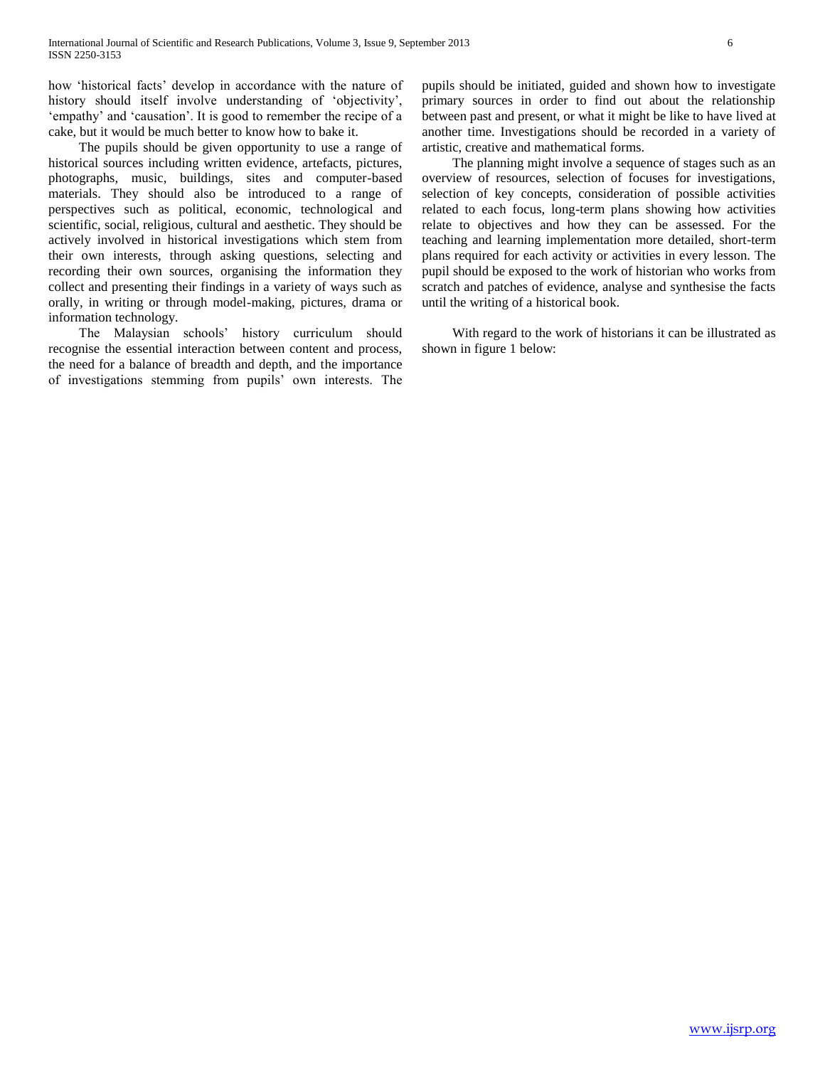how 'historical facts' develop in accordance with the nature of history should itself involve understanding of 'objectivity', 'empathy' and 'causation'. It is good to remember the recipe of a cake, but it would be much better to know how to bake it.

 The pupils should be given opportunity to use a range of historical sources including written evidence, artefacts, pictures, photographs, music, buildings, sites and computer-based materials. They should also be introduced to a range of perspectives such as political, economic, technological and scientific, social, religious, cultural and aesthetic. They should be actively involved in historical investigations which stem from their own interests, through asking questions, selecting and recording their own sources, organising the information they collect and presenting their findings in a variety of ways such as orally, in writing or through model-making, pictures, drama or information technology.

 The Malaysian schools' history curriculum should recognise the essential interaction between content and process, the need for a balance of breadth and depth, and the importance of investigations stemming from pupils' own interests. The pupils should be initiated, guided and shown how to investigate primary sources in order to find out about the relationship between past and present, or what it might be like to have lived at another time. Investigations should be recorded in a variety of artistic, creative and mathematical forms.

 The planning might involve a sequence of stages such as an overview of resources, selection of focuses for investigations, selection of key concepts, consideration of possible activities related to each focus, long-term plans showing how activities relate to objectives and how they can be assessed. For the teaching and learning implementation more detailed, short-term plans required for each activity or activities in every lesson. The pupil should be exposed to the work of historian who works from scratch and patches of evidence, analyse and synthesise the facts until the writing of a historical book.

 With regard to the work of historians it can be illustrated as shown in figure 1 below: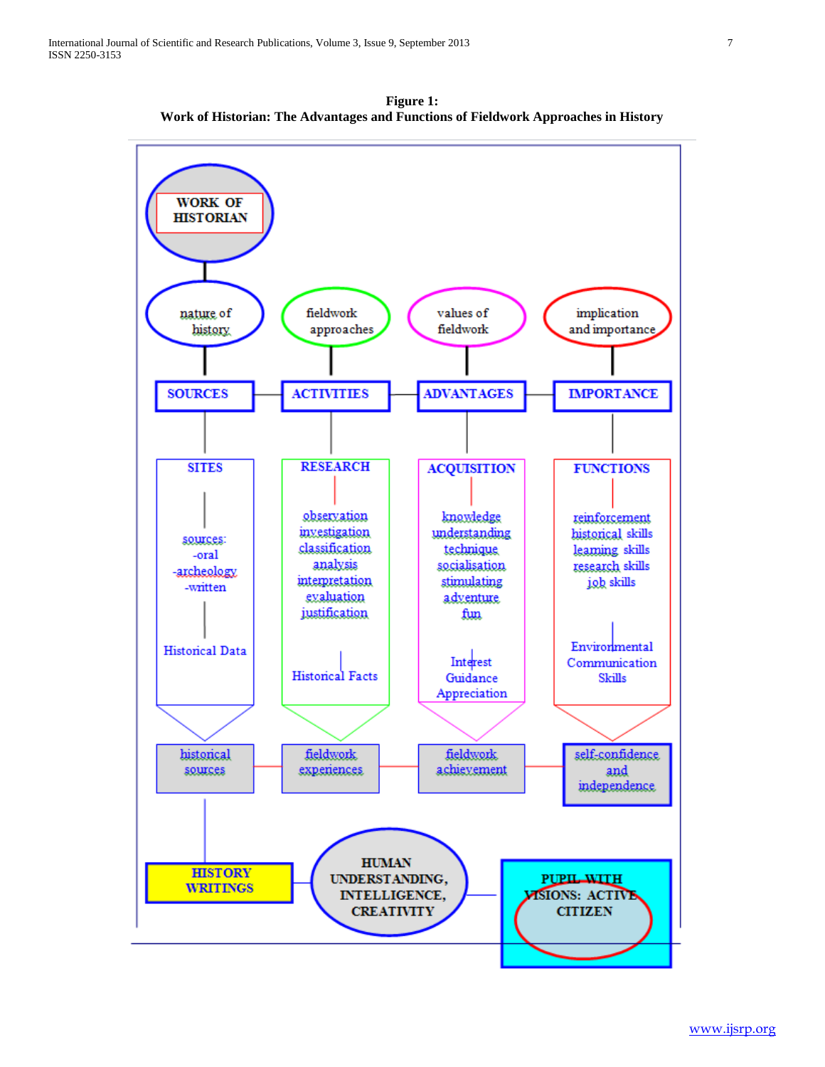